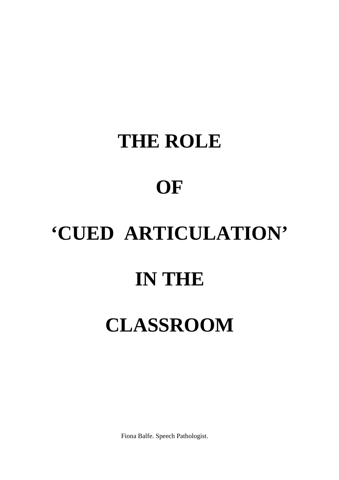Fiona Balfe. Speech Pathologist.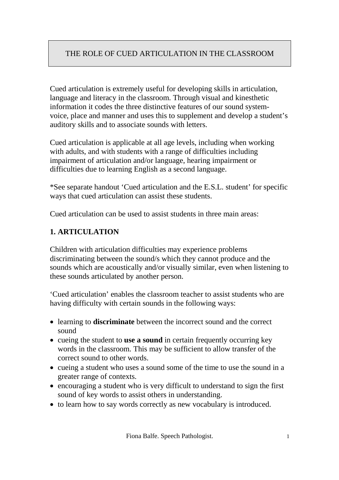Cued articulation is extremely useful for developing skills in articulation, language and literacy in the classroom. Through visual and kinesthetic information it codes the three distinctive features of our sound systemvoice, place and manner and uses this to supplement and develop a student's auditory skills and to associate sounds with letters.

Cued articulation is applicable at all age levels, including when working with adults, and with students with a range of difficulties including impairment of articulation and/or language, hearing impairment or difficulties due to learning English as a second language.

\*See separate handout 'Cued articulation and the E.S.L. student' for specific ways that cued articulation can assist these students.

Cued articulation can be used to assist students in three main areas:

#### **1. ARTICULATION**

Children with articulation difficulties may experience problems discriminating between the sound/s which they cannot produce and the sounds which are acoustically and/or visually similar, even when listening to these sounds articulated by another person.

'Cued articulation' enables the classroom teacher to assist students who are having difficulty with certain sounds in the following ways:

- learning to **discriminate** between the incorrect sound and the correct sound
- cueing the student to **use a sound** in certain frequently occurring key words in the classroom. This may be sufficient to allow transfer of the correct sound to other words.
- cueing a student who uses a sound some of the time to use the sound in a greater range of contexts.
- encouraging a student who is very difficult to understand to sign the first sound of key words to assist others in understanding.
- to learn how to say words correctly as new vocabulary is introduced.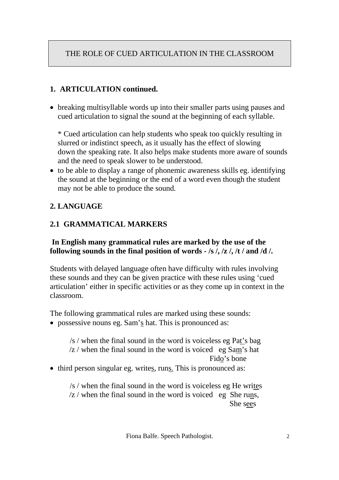# **1. ARTICULATION continued.**

 breaking multisyllable words up into their smaller parts using pauses and cued articulation to signal the sound at the beginning of each syllable.

\* Cued articulation can help students who speak too quickly resulting in slurred or indistinct speech, as it usually has the effect of slowing down the speaking rate. It also helps make students more aware of sounds and the need to speak slower to be understood.

 to be able to display a range of phonemic awareness skills eg. identifying the sound at the beginning or the end of a word even though the student may not be able to produce the sound.

# **2. LANGUAGE**

# **2.1 GRAMMATICAL MARKERS**

#### **In English many grammatical rules are marked by the use of the following sounds in the final position of words - /s /, /z /, /t / and /d /.**

Students with delayed language often have difficulty with rules involving these sounds and they can be given practice with these rules using 'cued articulation' either in specific activities or as they come up in context in the classroom.

The following grammatical rules are marked using these sounds:

possessive nouns eg. Sam's hat. This is pronounced as:

/s / when the final sound in the word is voiceless eg Pat's bag /z / when the final sound in the word is voiced eg Sam's hat Fido's bone

• third person singular eg. writes, runs. This is pronounced as:

/s / when the final sound in the word is voiceless eg He writes  $\sqrt{z}$  / when the final sound in the word is voiced eg She runs, She sees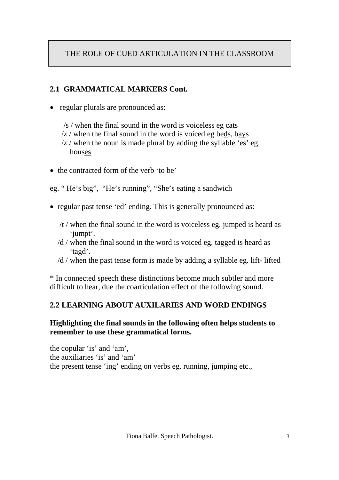### **2.1 GRAMMATICAL MARKERS Cont.**

- regular plurals are pronounced as:
	- /s / when the final sound in the word is voiceless eg cats
	- /z / when the final sound in the word is voiced eg beds, bays
	- /z / when the noun is made plural by adding the syllable 'es' eg. houses
- the contracted form of the verb 'to be'

eg. " He's big", "He's running", "She's eating a sandwich

- regular past tense 'ed' ending. This is generally pronounced as:
	- /t / when the final sound in the word is voiceless eg. jumped is heard as 'jumpt'.
	- /d / when the final sound in the word is voiced eg. tagged is heard as 'tagd'.
	- /d / when the past tense form is made by adding a syllable eg. lift- lifted

\* In connected speech these distinctions become much subtler and more difficult to hear, due the coarticulation effect of the following sound.

# **2.2 LEARNING ABOUT AUXILARIES AND WORD ENDINGS**

#### **Highlighting the final sounds in the following often helps students to remember to use these grammatical forms.**

the copular 'is' and 'am', the auxiliaries 'is' and 'am' the present tense 'ing' ending on verbs eg. running, jumping etc.,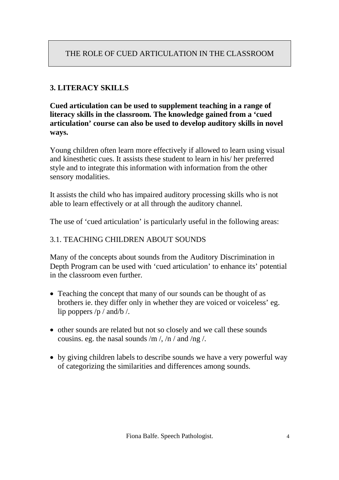# **3. LITERACY SKILLS**

**Cued articulation can be used to supplement teaching in a range of literacy skills in the classroom. The knowledge gained from a 'cued articulation' course can also be used to develop auditory skills in novel ways.**

Young children often learn more effectively if allowed to learn using visual and kinesthetic cues. It assists these student to learn in his/ her preferred style and to integrate this information with information from the other sensory modalities.

It assists the child who has impaired auditory processing skills who is not able to learn effectively or at all through the auditory channel.

The use of 'cued articulation' is particularly useful in the following areas:

#### 3.1. TEACHING CHILDREN ABOUT SOUNDS

Many of the concepts about sounds from the Auditory Discrimination in Depth Program can be used with 'cued articulation' to enhance its' potential in the classroom even further.

- Teaching the concept that many of our sounds can be thought of as brothers ie. they differ only in whether they are voiced or voiceless' eg. lip poppers /p / and/b /.
- other sounds are related but not so closely and we call these sounds cousins. eg. the nasal sounds /m /, /n / and /ng /.
- by giving children labels to describe sounds we have a very powerful way of categorizing the similarities and differences among sounds.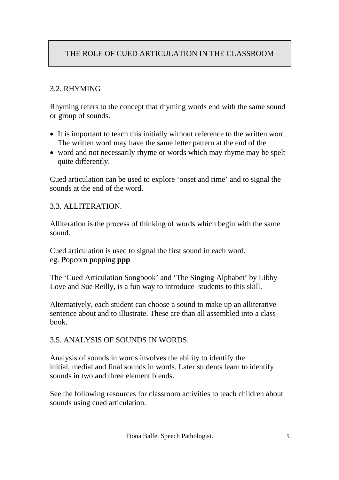#### 3.2. RHYMING

Rhyming refers to the concept that rhyming words end with the same sound or group of sounds.

- It is important to teach this initially without reference to the written word. The written word may have the same letter pattern at the end of the
- word and not necessarily rhyme or words which may rhyme may be spelt quite differently.

Cued articulation can be used to explore 'onset and rime' and to signal the sounds at the end of the word.

#### 3.3. ALLITERATION.

Alliteration is the process of thinking of words which begin with the same sound.

Cued articulation is used to signal the first sound in each word. eg. **P**opcorn **p**opping **ppp**

The 'Cued Articulation Songbook' and 'The Singing Alphabet' by Libby Love and Sue Reilly, is a fun way to introduce students to this skill.

Alternatively, each student can choose a sound to make up an alliterative sentence about and to illustrate. These are than all assembled into a class book.

#### 3.5. ANALYSIS OF SOUNDS IN WORDS.

Analysis of sounds in words involves the ability to identify the initial, medial and final sounds in words. Later students learn to identify sounds in two and three element blends.

See the following resources for classroom activities to teach children about sounds using cued articulation.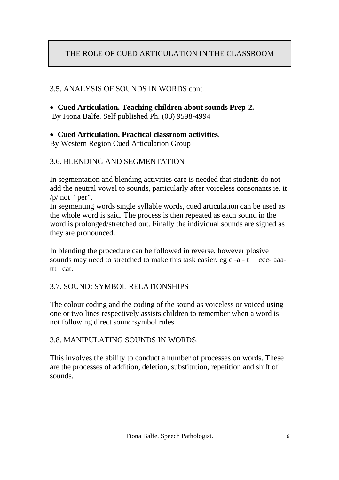#### 3.5. ANALYSIS OF SOUNDS IN WORDS cont.

 **Cued Articulation. Teaching children about sounds Prep-2.** By Fiona Balfe. Self published Ph. (03) 9598-4994

#### **Cued Articulation. Practical classroom activities**.

By Western Region Cued Articulation Group

#### 3.6. BLENDING AND SEGMENTATION

In segmentation and blending activities care is needed that students do not add the neutral vowel to sounds, particularly after voiceless consonants ie. it  $/p/$  not "per".

In segmenting words single syllable words, cued articulation can be used as the whole word is said. The process is then repeated as each sound in the word is prolonged/stretched out. Finally the individual sounds are signed as they are pronounced.

In blending the procedure can be followed in reverse, however plosive sounds may need to stretched to make this task easier. eg c -a - t ccc- aaattt cat.

#### 3.7. SOUND: SYMBOL RELATIONSHIPS

The colour coding and the coding of the sound as voiceless or voiced using one or two lines respectively assists children to remember when a word is not following direct sound:symbol rules.

#### 3.8. MANIPULATING SOUNDS IN WORDS.

This involves the ability to conduct a number of processes on words. These are the processes of addition, deletion, substitution, repetition and shift of sounds.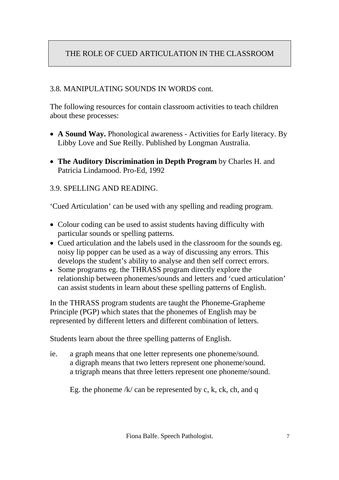#### 3.8. MANIPULATING SOUNDS IN WORDS cont.

The following resources for contain classroom activities to teach children about these processes:

- **A Sound Way.** Phonological awareness Activities for Early literacy. By Libby Love and Sue Reilly. Published by Longman Australia.
- **The Auditory Discrimination in Depth Program** by Charles H. and Patricia Lindamood. Pro-Ed, 1992

#### 3.9. SPELLING AND READING.

'Cued Articulation' can be used with any spelling and reading program.

- Colour coding can be used to assist students having difficulty with particular sounds or spelling patterns.
- Cued articulation and the labels used in the classroom for the sounds eg. noisy lip popper can be used as a way of discussing any errors. This develops the student's ability to analyse and then self correct errors.
- Some programs eg. the THRASS program directly explore the relationship between phonemes/sounds and letters and 'cued articulation' can assist students in learn about these spelling patterns of English.

In the THRASS program students are taught the Phoneme-Grapheme Principle (PGP) which states that the phonemes of English may be represented by different letters and different combination of letters.

Students learn about the three spelling patterns of English.

ie. a graph means that one letter represents one phoneme/sound. a digraph means that two letters represent one phoneme/sound. a trigraph means that three letters represent one phoneme/sound.

Eg. the phoneme  $/k/$  can be represented by c, k, ck, ch, and q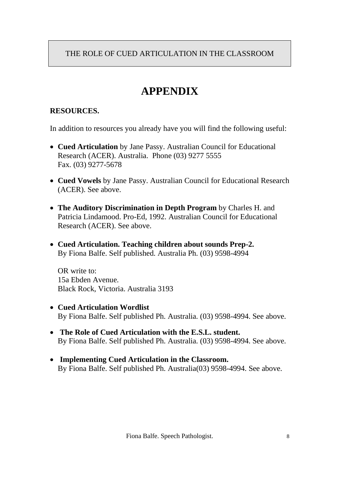# **APPENDIX**

# **RESOURCES.**

In addition to resources you already have you will find the following useful:

- **Cued Articulation** by Jane Passy. Australian Council for Educational Research (ACER). Australia. Phone (03) 9277 5555 Fax. (03) 9277-5678
- **Cued Vowels** by Jane Passy. Australian Council for Educational Research (ACER). See above.
- **The Auditory Discrimination in Depth Program** by Charles H. and Patricia Lindamood. Pro-Ed, 1992. Australian Council for Educational Research (ACER). See above.
- **Cued Articulation. Teaching children about sounds Prep-2.** By Fiona Balfe. Self published. Australia Ph. (03) 9598-4994

OR write to: 15a Ebden Avenue. Black Rock, Victoria. Australia 3193

- **Cued Articulation Wordlist** By Fiona Balfe. Self published Ph. Australia. (03) 9598-4994. See above.
- **The Role of Cued Articulation with the E.S.L. student.** By Fiona Balfe. Self published Ph. Australia. (03) 9598-4994. See above.
- **Implementing Cued Articulation in the Classroom.** By Fiona Balfe. Self published Ph. Australia(03) 9598-4994. See above.